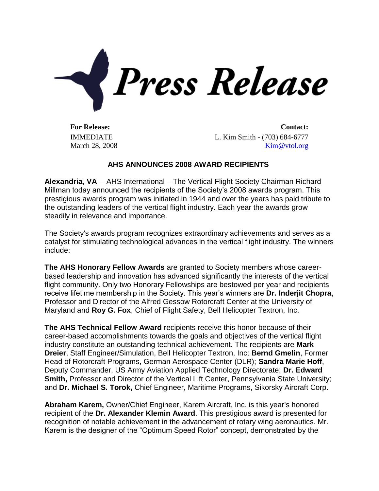

IMMEDIATE March 28, 2008

**For Release: Contact:** L. Kim Smith - (703) 684-6777 [Kim@vtol.org](mailto:Kim@vtol.org)

## **AHS ANNOUNCES 2008 AWARD RECIPIENTS**

**Alexandria, VA** —AHS International – The Vertical Flight Society Chairman Richard Millman today announced the recipients of the Society's 2008 awards program. This prestigious awards program was initiated in 1944 and over the years has paid tribute to the outstanding leaders of the vertical flight industry. Each year the awards grow steadily in relevance and importance.

The Society's awards program recognizes extraordinary achievements and serves as a catalyst for stimulating technological advances in the vertical flight industry. The winners include:

**The AHS Honorary Fellow Awards** are granted to Society members whose careerbased leadership and innovation has advanced significantly the interests of the vertical flight community. Only two Honorary Fellowships are bestowed per year and recipients receive lifetime membership in the Society. This year's winners are **Dr. Inderjit Chopra**, Professor and Director of the Alfred Gessow Rotorcraft Center at the University of Maryland and **Roy G. Fox**, Chief of Flight Safety, Bell Helicopter Textron, Inc.

**The AHS Technical Fellow Award** recipients receive this honor because of their career-based accomplishments towards the goals and objectives of the vertical flight industry constitute an outstanding technical achievement. The recipients are **Mark Dreier**, Staff Engineer/Simulation, Bell Helicopter Textron, Inc; **Bernd Gmelin**, Former Head of Rotorcraft Programs, German Aerospace Center (DLR); **Sandra Marie Hoff**, Deputy Commander, US Army Aviation Applied Technology Directorate; **Dr. Edward Smith, Professor and Director of the Vertical Lift Center, Pennsylvania State University;** and **Dr. Michael S. Torok,** Chief Engineer, Maritime Programs, Sikorsky Aircraft Corp.

**Abraham Karem,** Owner/Chief Engineer, Karem Aircraft, Inc. is this year's honored recipient of the **Dr. Alexander Klemin Award**. This prestigious award is presented for recognition of notable achievement in the advancement of rotary wing aeronautics. Mr. Karem is the designer of the "Optimum Speed Rotor" concept, demonstrated by the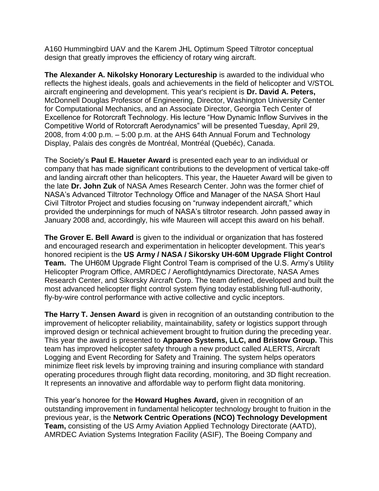A160 Hummingbird UAV and the Karem JHL Optimum Speed Tiltrotor conceptual design that greatly improves the efficiency of rotary wing aircraft.

**The Alexander A. Nikolsky Honorary Lectureship** is awarded to the individual who reflects the highest ideals, goals and achievements in the field of helicopter and V/STOL aircraft engineering and development. This year's recipient is **Dr. David A. Peters,**  McDonnell Douglas Professor of Engineering, Director, Washington University Center for Computational Mechanics, and an Associate Director, Georgia Tech Center of Excellence for Rotorcraft Technology. His lecture "How Dynamic Inflow Survives in the Competitive World of Rotorcraft Aerodynamics" will be presented Tuesday, April 29, 2008, from 4:00 p.m. – 5:00 p.m. at the AHS 64th Annual Forum and Technology Display, Palais des congrès de Montréal, Montréal (Quebéc), Canada.

The Society's **Paul E. Haueter Award** is presented each year to an individual or company that has made significant contributions to the development of vertical take-off and landing aircraft other than helicopters. This year, the Haueter Award will be given to the late **Dr. John Zuk** of NASA Ames Research Center. John was the former chief of NASA's Advanced Tiltrotor Technology Office and Manager of the NASA Short Haul Civil Tiltrotor Project and studies focusing on "runway independent aircraft," which provided the underpinnings for much of NASA's tiltrotor research. John passed away in January 2008 and, accordingly, his wife Maureen will accept this award on his behalf.

**The Grover E. Bell Award** is given to the individual or organization that has fostered and encouraged research and experimentation in helicopter development. This year's honored recipient is the **US Army / NASA / Sikorsky UH-60M Upgrade Flight Control Team.** The UH60M Upgrade Flight Control Team is comprised of the U.S. Army's Utility Helicopter Program Office, AMRDEC / Aeroflightdynamics Directorate, NASA Ames Research Center, and Sikorsky Aircraft Corp. The team defined, developed and built the most advanced helicopter flight control system flying today establishing full-authority, fly-by-wire control performance with active collective and cyclic inceptors.

**The Harry T. Jensen Award** is given in recognition of an outstanding contribution to the improvement of helicopter reliability, maintainability, safety or logistics support through improved design or technical achievement brought to fruition during the preceding year. This year the award is presented to **Appareo Systems, LLC, and Bristow Group.** This team has improved helicopter safety through a new product called ALERTS, Aircraft Logging and Event Recording for Safety and Training. The system helps operators minimize fleet risk levels by improving training and insuring compliance with standard operating procedures through flight data recording, monitoring, and 3D flight recreation. It represents an innovative and affordable way to perform flight data monitoring.

This year's honoree for the **Howard Hughes Award,** given in recognition of an outstanding improvement in fundamental helicopter technology brought to fruition in the previous year, is the **Network Centric Operations (NCO) Technology Development Team,** consisting of the US Army Aviation Applied Technology Directorate (AATD), AMRDEC Aviation Systems Integration Facility (ASIF), The Boeing Company and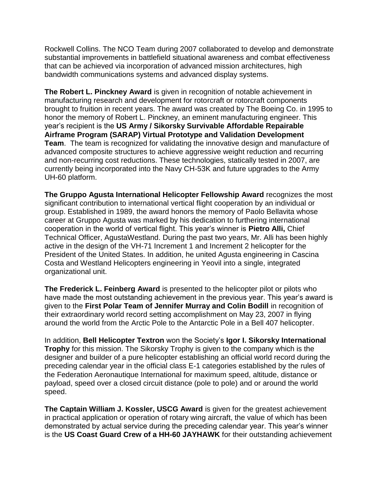Rockwell Collins. The NCO Team during 2007 collaborated to develop and demonstrate substantial improvements in battlefield situational awareness and combat effectiveness that can be achieved via incorporation of advanced mission architectures, high bandwidth communications systems and advanced display systems.

**The Robert L. Pinckney Award** is given in recognition of notable achievement in manufacturing research and development for rotorcraft or rotorcraft components brought to fruition in recent years. The award was created by The Boeing Co. in 1995 to honor the memory of Robert L. Pinckney, an eminent manufacturing engineer. This year's recipient is the **US Army / Sikorsky Survivable Affordable Repairable Airframe Program (SARAP) Virtual Prototype and Validation Development Team**. The team is recognized for validating the innovative design and manufacture of advanced composite structures to achieve aggressive weight reduction and recurring and non-recurring cost reductions. These technologies, statically tested in 2007, are currently being incorporated into the Navy CH-53K and future upgrades to the Army UH-60 platform.

**The Gruppo Agusta International Helicopter Fellowship Award** recognizes the most significant contribution to international vertical flight cooperation by an individual or group. Established in 1989, the award honors the memory of Paolo Bellavita whose career at Gruppo Agusta was marked by his dedication to furthering international cooperation in the world of vertical flight. This year's winner is **Pietro Alli,** Chief Technical Officer, AgustaWestland. During the past two years, Mr. Alli has been highly active in the design of the VH-71 Increment 1 and Increment 2 helicopter for the President of the United States. In addition, he united Agusta engineering in Cascina Costa and Westland Helicopters engineering in Yeovil into a single, integrated organizational unit.

**The Frederick L. Feinberg Award** is presented to the helicopter pilot or pilots who have made the most outstanding achievement in the previous year. This year's award is given to the **First Polar Team of Jennifer Murray and Colin Bodill** in recognition of their extraordinary world record setting accomplishment on May 23, 2007 in flying around the world from the Arctic Pole to the Antarctic Pole in a Bell 407 helicopter.

In addition, **Bell Helicopter Textron** won the Society's **Igor I. Sikorsky International Trophy** for this mission. The Sikorsky Trophy is given to the company which is the designer and builder of a pure helicopter establishing an official world record during the preceding calendar year in the official class E-1 categories established by the rules of the Federation Aeronautique International for maximum speed, altitude, distance or payload, speed over a closed circuit distance (pole to pole) and or around the world speed.

**The Captain William J. Kossler, USCG Award** is given for the greatest achievement in practical application or operation of rotary wing aircraft, the value of which has been demonstrated by actual service during the preceding calendar year. This year's winner is the **US Coast Guard Crew of a HH-60 JAYHAWK** for their outstanding achievement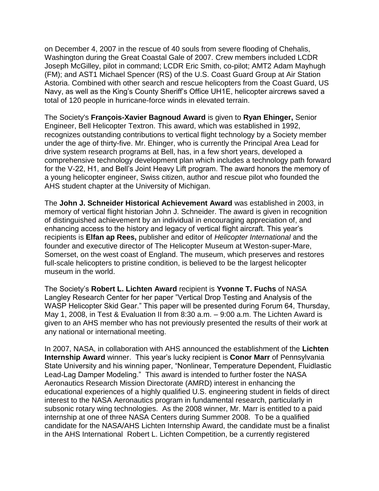on December 4, 2007 in the rescue of 40 souls from severe flooding of Chehalis, Washington during the Great Coastal Gale of 2007. Crew members included LCDR Joseph McGilley, pilot in command; LCDR Eric Smith, co-pilot; AMT2 Adam Mayhugh (FM); and AST1 Michael Spencer (RS) of the U.S. Coast Guard Group at Air Station Astoria. Combined with other search and rescue helicopters from the Coast Guard, US Navy, as well as the King's County Sheriff's Office UH1E, helicopter aircrews saved a total of 120 people in hurricane-force winds in elevated terrain.

The Society's **François-Xavier Bagnoud Award** is given to **Ryan Ehinger,** Senior Engineer, Bell Helicopter Textron. This award, which was established in 1992, recognizes outstanding contributions to vertical flight technology by a Society member under the age of thirty-five. Mr. Ehinger, who is currently the Principal Area Lead for drive system research programs at Bell, has, in a few short years, developed a comprehensive technology development plan which includes a technology path forward for the V-22, H1, and Bell's Joint Heavy Lift program. The award honors the memory of a young helicopter engineer, Swiss citizen, author and rescue pilot who founded the AHS student chapter at the University of Michigan.

The **John J. Schneider Historical Achievement Award** was established in 2003, in memory of vertical flight historian John J. Schneider. The award is given in recognition of distinguished achievement by an individual in encouraging appreciation of, and enhancing access to the history and legacy of vertical flight aircraft. This year's recipients is **Elfan ap Rees,** publisher and editor of *Helicopter International* and the founder and executive director of The Helicopter Museum at Weston-super-Mare, Somerset, on the west coast of England. The museum, which preserves and restores full-scale helicopters to pristine condition, is believed to be the largest helicopter museum in the world.

The Society's **Robert L. Lichten Award** recipient is **Yvonne T. Fuchs** of NASA Langley Research Center for her paper "Vertical Drop Testing and Analysis of the WASP Helicopter Skid Gear." This paper will be presented during Forum 64, Thursday, May 1, 2008, in Test & Evaluation II from 8:30 a.m. – 9:00 a.m. The Lichten Award is given to an AHS member who has not previously presented the results of their work at any national or international meeting.

In 2007, NASA, in collaboration with AHS announced the establishment of the **Lichten Internship Award** winner. This year's lucky recipient is **Conor Marr** of Pennsylvania State University and his winning paper, "Nonlinear, Temperature Dependent, Fluidlastic Lead-Lag Damper Modeling." This award is intended to further foster the NASA Aeronautics Research Mission Directorate (AMRD) interest in enhancing the educational experiences of a highly qualified U.S. engineering student in fields of direct interest to the NASA Aeronautics program in fundamental research, particularly in subsonic rotary wing technologies. As the 2008 winner, Mr. Marr is entitled to a paid internship at one of three NASA Centers during Summer 2008. To be a qualified candidate for the NASA/AHS Lichten Internship Award, the candidate must be a finalist in the AHS International Robert L. Lichten Competition, be a currently registered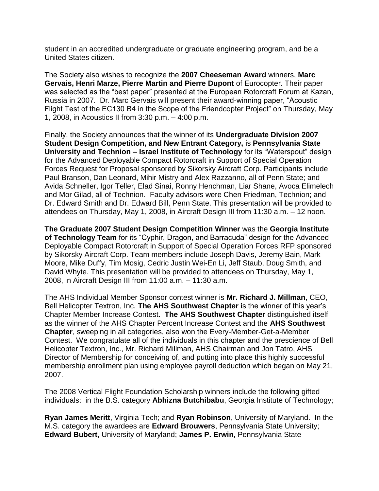student in an accredited undergraduate or graduate engineering program, and be a United States citizen.

The Society also wishes to recognize the **2007 Cheeseman Award** winners, **Marc Gervais, Henri Marze, Pierre Martin and Pierre Dupont** of Eurocopter. Their paper was selected as the "best paper" presented at the European Rotorcraft Forum at Kazan, Russia in 2007. Dr. Marc Gervais will present their award-winning paper, "Acoustic Flight Test of the EC130 B4 in the Scope of the Friendcopter Project" on Thursday, May 1, 2008, in Acoustics II from 3:30 p.m. – 4:00 p.m.

Finally, the Society announces that the winner of its **Undergraduate Division 2007 Student Design Competition, and New Entrant Category,** is **Pennsylvania State University and Technion – Israel Institute of Technology** for its "Waterspout" design for the Advanced Deployable Compact Rotorcraft in Support of Special Operation Forces Request for Proposal sponsored by Sikorsky Aircraft Corp. Participants include Paul Branson, Dan Leonard, Mihir Mistry and Alex Razzanno, all of Penn State; and Avida Schneller, Igor Teller, Elad Sinai, Ronny Henchman, Liar Shane, Avoca Elimelech and Mor Gilad, all of Technion. Faculty advisors were Chen Friedman, Technion; and Dr. Edward Smith and Dr. Edward Bill, Penn State. This presentation will be provided to attendees on Thursday, May 1, 2008, in Aircraft Design III from 11:30 a.m. – 12 noon.

**The Graduate 2007 Student Design Competition Winner** was the **Georgia Institute of Technology Team** for its "Cyphir, Dragon, and Barracuda" design for the Advanced Deployable Compact Rotorcraft in Support of Special Operation Forces RFP sponsored by Sikorsky Aircraft Corp. Team members include Joseph Davis, Jeremy Bain, Mark Moore, Mike Duffy, Tim Mosig, Cedric Justin Wei-En Li, Jeff Staub, Doug Smith, and David Whyte. This presentation will be provided to attendees on Thursday, May 1, 2008, in Aircraft Design III from 11:00 a.m. – 11:30 a.m.

The AHS Individual Member Sponsor contest winner is **Mr. Richard J. Millman**, CEO, Bell Helicopter Textron, Inc. **The AHS Southwest Chapter** is the winner of this year's Chapter Member Increase Contest. **The AHS Southwest Chapter** distinguished itself as the winner of the AHS Chapter Percent Increase Contest and the **AHS Southwest Chapter**, sweeping in all categories, also won the Every-Member-Get-a-Member Contest. We congratulate all of the individuals in this chapter and the prescience of Bell Helicopter Textron, Inc., Mr. Richard Millman, AHS Chairman and Jon Tatro, AHS Director of Membership for conceiving of, and putting into place this highly successful membership enrollment plan using employee payroll deduction which began on May 21, 2007.

The 2008 Vertical Flight Foundation Scholarship winners include the following gifted individuals: in the B.S. category **Abhizna Butchibabu**, Georgia Institute of Technology;

**Ryan James Meritt**, Virginia Tech; and **Ryan Robinson**, University of Maryland. In the M.S. category the awardees are **Edward Brouwers**, Pennsylvania State University; **Edward Bubert**, University of Maryland; **James P. Erwin,** Pennsylvania State